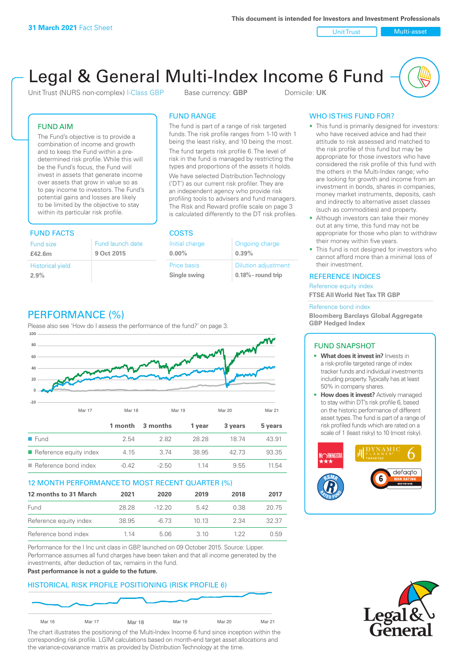Unit Trust Nulti-asset

# Legal & General Multi-Index Income 6 Fund

Unit Trust (NURS non-complex) I-Class GBP Base currency: **GBP** Domicile: UK

### FUND AIM

The Fund's objective is to provide a combination of income and growth and to keep the Fund within a predetermined risk profile. While this will be the Fund's focus, the Fund will invest in assets that generate income over assets that grow in value so as to pay income to investors. The Fund's potential gains and losses are likely to be limited by the objective to stay within its particular risk profile.

### FUND FACTS COSTS

| Fund size               | Fund launch date |
|-------------------------|------------------|
| £42.6m                  | 9 Oct 2015       |
| <b>Historical yield</b> |                  |
| 2.9%                    |                  |

### FUND RANGE

The fund is part of a range of risk targeted funds. The risk profile ranges from 1-10 with 1 being the least risky, and 10 being the most.

The fund targets risk profile 6. The level of risk in the fund is managed by restricting the types and proportions of the assets it holds. We have selected Distribution Technology ('DT') as our current risk profiler. They are an independent agency who provide risk profiling tools to advisers and fund managers. The Risk and Reward profile scale on page 3 is calculated differently to the DT risk profiles.

| Initial charge | Ongoing charge             |
|----------------|----------------------------|
| $0.00\%$       | 0.39%                      |
| Price basis    | <b>Dilution adjustment</b> |
| Single swing   | $0.18\%$ - round trip      |

### WHO IS THIS FUND FOR?

- This fund is primarily designed for investors: who have received advice and had their attitude to risk assessed and matched to the risk profile of this fund but may be appropriate for those investors who have considered the risk profile of this fund with the others in the Multi-Index range; who are looking for growth and income from an investment in bonds, shares in companies, money market instruments, deposits, cash and indirectly to alternative asset classes (such as commodities) and property.
- Although investors can take their money out at any time, this fund may not be appropriate for those who plan to withdraw their money within five years.
- This fund is not designed for investors who cannot afford more than a minimal loss of their investment.

### REFERENCE INDICES

Reference equity index **FTSE All World Net Tax TR GBP**

#### Reference bond index

**Bloomberg Barclays Global Aggregate GBP Hedged Index**

### FUND SNAPSHOT

- **• What does it invest in?** Invests in a risk-profile targeted range of index tracker funds and individual investments including property. Typically has at least 50% in company shares.
- **• How does it invest?** Actively managed to stay within DT's risk profile 6, based on the historic performance of different asset types. The fund is part of a range of risk profiled funds which are rated on a scale of 1 (least risky) to 10 (most risky).





### PERFORMANCE (%)

Please also see 'How do I assess the performance of the fund?' on page 3.



### 12 MONTH PERFORMANCE TO MOST RECENT QUARTER (%)

| 12 months to 31 March  | 2021  | 2020     | 2019 | 2018 | 2017  |
|------------------------|-------|----------|------|------|-------|
| Fund                   | 28.28 | $-12.20$ | 542  | 0.38 | 20.75 |
| Reference equity index | 38.95 | -6.73    | 1013 | 2.34 | 32.37 |
| Reference bond index   | 1 14  | 5.06     | 3 10 | 1 22 | 0.59  |

Performance for the I Inc unit class in GBP, launched on 09 October 2015. Source: Lipper. Performance assumes all fund charges have been taken and that all income generated by the investments, after deduction of tax, remains in the fund.

#### **Past performance is not a guide to the future.**

### HISTORICAL RISK PROFILE POSITIONING (RISK PROFILE 6)



The chart illustrates the positioning of the Multi-Index Income 6 fund since inception within the corresponding risk profile. LGIM calculations based on month-end target asset allocations and the variance-covariance matrix as provided by Distribution Technology at the time.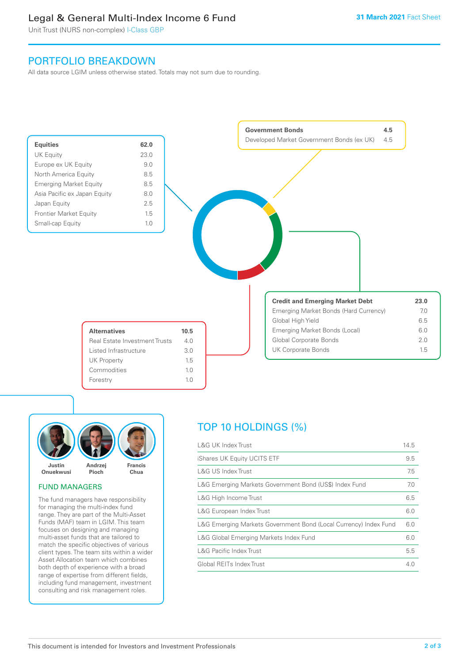### Legal & General Multi-Index Income 6 Fund

Unit Trust (NURS non-complex) I-Class GBP

### PORTFOLIO BREAKDOWN

All data source LGIM unless otherwise stated. Totals may not sum due to rounding.





### FUND MANAGERS

The fund managers have responsibility for managing the multi-index fund range. They are part of the Multi-Asset Funds (MAF) team in LGIM. This team focuses on designing and managing multi-asset funds that are tailored to match the specific objectives of various client types. The team sits within a wider Asset Allocation team which combines both depth of experience with a broad range of expertise from different fields, including fund management, investment consulting and risk management roles.

## TOP 10 HOLDINGS (%)

| <b>L&amp;G UK Index Trust</b>                                    | 14.5 |
|------------------------------------------------------------------|------|
| iShares UK Equity UCITS ETF                                      | 9.5  |
| L&G US Index Trust                                               | 7.5  |
| L&G Emerging Markets Government Bond (US\$) Index Fund           | 7.0  |
| L&G High Income Trust                                            | 6.5  |
| L&G European Index Trust                                         | 6.0  |
| L&G Emerging Markets Government Bond (Local Currency) Index Fund | 6.0  |
| L&G Global Emerging Markets Index Fund                           | 6.0  |
| <b>L&amp;G Pacific Index Trust</b>                               | 5.5  |
| Global REITs Index Trust                                         | 4.0  |